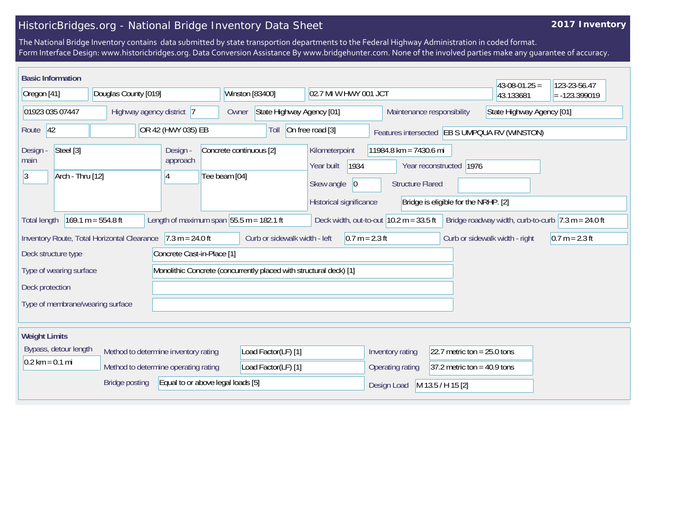## HistoricBridges.org - National Bridge Inventory Data Sheet

## **2017 Inventory**

The National Bridge Inventory contains data submitted by state transportion departments to the Federal Highway Administration in coded format. Form Interface Design: www.historicbridges.org. Data Conversion Assistance By www.bridgehunter.com. None of the involved parties make any guarantee of accuracy.

| <b>Basic Information</b>                                                                                                                                                                                                           |                                                                                                                                                                             |                                                                                                                                          |                     |                                                                                                                        |                               |                                | $43-08-01.25 =$                               | 123-23-56.47 |
|------------------------------------------------------------------------------------------------------------------------------------------------------------------------------------------------------------------------------------|-----------------------------------------------------------------------------------------------------------------------------------------------------------------------------|------------------------------------------------------------------------------------------------------------------------------------------|---------------------|------------------------------------------------------------------------------------------------------------------------|-------------------------------|--------------------------------|-----------------------------------------------|--------------|
| Douglas County [019]<br>Oregon [41]                                                                                                                                                                                                |                                                                                                                                                                             | Winston [83400]<br>02.7 MI W HWY 001 JCT                                                                                                 |                     |                                                                                                                        |                               | 43.133681                      | $= -123.399019$                               |              |
| 01923 035 07447<br>Highway agency district 7                                                                                                                                                                                       |                                                                                                                                                                             | State Highway Agency [01]<br>Owner                                                                                                       |                     | State Highway Agency [01]<br>Maintenance responsibility                                                                |                               |                                |                                               |              |
| Route 42<br>OR 42 (HWY 035) EB                                                                                                                                                                                                     |                                                                                                                                                                             |                                                                                                                                          | Toll                | On free road [3]                                                                                                       |                               |                                | Features intersected EB S UMPQUA RV (WINSTON) |              |
| Steel [3]<br>Design -<br>Design -<br>approach<br>main<br>Arch - Thru [12]<br>13<br>4                                                                                                                                               |                                                                                                                                                                             | Concrete continuous [2]<br>Kilometerpoint<br>1934<br>Year built<br>Tee beam [04]<br>Skew angle<br>$ 0\rangle$<br>Historical significance |                     | 11984.8 km = 7430.6 mi<br>Year reconstructed   1976<br><b>Structure Flared</b><br>Bridge is eligible for the NRHP. [2] |                               |                                |                                               |              |
| $169.1 m = 554.8 ft$<br>Length of maximum span $55.5$ m = 182.1 ft<br>Deck width, out-to-out $ 10.2 \text{ m} = 33.5 \text{ ft} $<br>Bridge roadway width, curb-to-curb $ 7.3 \text{ m} = 24.0 \text{ ft} $<br><b>Total length</b> |                                                                                                                                                                             |                                                                                                                                          |                     |                                                                                                                        |                               |                                |                                               |              |
|                                                                                                                                                                                                                                    | $7.3 m = 24.0 ft$<br>Curb or sidewalk width - left<br>$0.7 m = 2.3 ft$<br>Inventory Route, Total Horizontal Clearance<br>Curb or sidewalk width - right<br>$0.7 m = 2.3 ft$ |                                                                                                                                          |                     |                                                                                                                        |                               |                                |                                               |              |
| Deck structure type<br>Concrete Cast-in-Place [1]                                                                                                                                                                                  |                                                                                                                                                                             |                                                                                                                                          |                     |                                                                                                                        |                               |                                |                                               |              |
| Monolithic Concrete (concurrently placed with structural deck) [1]<br>Type of wearing surface                                                                                                                                      |                                                                                                                                                                             |                                                                                                                                          |                     |                                                                                                                        |                               |                                |                                               |              |
| Deck protection                                                                                                                                                                                                                    |                                                                                                                                                                             |                                                                                                                                          |                     |                                                                                                                        |                               |                                |                                               |              |
| Type of membrane/wearing surface                                                                                                                                                                                                   |                                                                                                                                                                             |                                                                                                                                          |                     |                                                                                                                        |                               |                                |                                               |              |
| <b>Weight Limits</b>                                                                                                                                                                                                               |                                                                                                                                                                             |                                                                                                                                          |                     |                                                                                                                        |                               |                                |                                               |              |
| Bypass, detour length<br>Method to determine inventory rating                                                                                                                                                                      |                                                                                                                                                                             | Load Factor(LF) [1]                                                                                                                      |                     | Inventory rating                                                                                                       | 22.7 metric ton = $25.0$ tons |                                |                                               |              |
| $0.2 \text{ km} = 0.1 \text{ mi}$                                                                                                                                                                                                  | Method to determine operating rating                                                                                                                                        |                                                                                                                                          | Load Factor(LF) [1] |                                                                                                                        | Operating rating              | $ 37.2$ metric ton = 40.9 tons |                                               |              |
| <b>Bridge posting</b><br>Equal to or above legal loads [5]                                                                                                                                                                         |                                                                                                                                                                             |                                                                                                                                          |                     | Design Load                                                                                                            | M 13.5 / H 15 [2]             |                                |                                               |              |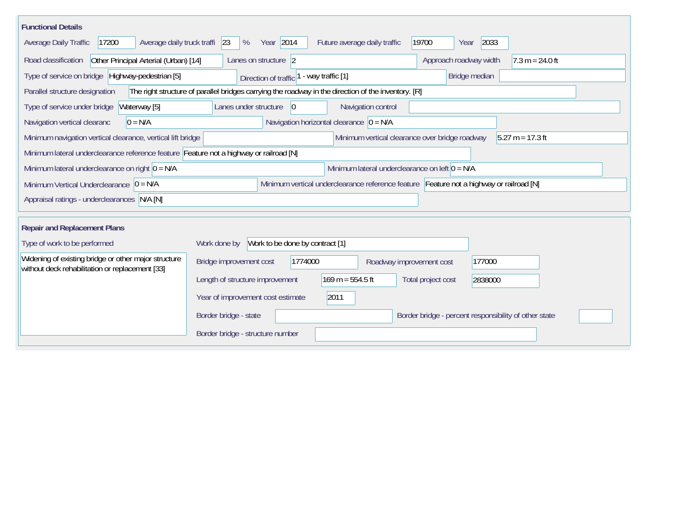| <b>Functional Details</b>                                                                                                             |                                                 |                                                                                         |                          |                                                       |  |  |  |  |
|---------------------------------------------------------------------------------------------------------------------------------------|-------------------------------------------------|-----------------------------------------------------------------------------------------|--------------------------|-------------------------------------------------------|--|--|--|--|
| Average daily truck traffi<br>17200<br>Average Daily Traffic                                                                          | Year 2014<br>23<br>%                            | Future average daily traffic                                                            | 19700<br>Year            | 2033                                                  |  |  |  |  |
| Road classification<br>Other Principal Arterial (Urban) [14]                                                                          | Lanes on structure 2                            |                                                                                         | Approach roadway width   | $7.3 m = 24.0 ft$                                     |  |  |  |  |
| Type of service on bridge   Highway-pedestrian [5]                                                                                    | Direction of traffic                            | - way traffic [1]                                                                       | Bridge median            |                                                       |  |  |  |  |
| Parallel structure designation<br>The right structure of parallel bridges carrying the roadway in the direction of the inventory. [R] |                                                 |                                                                                         |                          |                                                       |  |  |  |  |
| Waterway [5]<br>Type of service under bridge                                                                                          | $ 0\rangle$<br>Lanes under structure            | Navigation control                                                                      |                          |                                                       |  |  |  |  |
| Navigation horizontal clearance $ 0 = N/A $<br>$0 = N/A$<br>Navigation vertical clearanc                                              |                                                 |                                                                                         |                          |                                                       |  |  |  |  |
| $5.27 m = 17.3 ft$<br>Minimum navigation vertical clearance, vertical lift bridge<br>Minimum vertical clearance over bridge roadway   |                                                 |                                                                                         |                          |                                                       |  |  |  |  |
| Minimum lateral underclearance reference feature Feature not a highway or railroad [N]                                                |                                                 |                                                                                         |                          |                                                       |  |  |  |  |
| Minimum lateral underclearance on left $0 = N/A$<br>Minimum lateral underclearance on right $0 = N/A$                                 |                                                 |                                                                                         |                          |                                                       |  |  |  |  |
| Minimum Vertical Underclearance $ 0 = N/A $                                                                                           |                                                 | Minimum vertical underclearance reference feature Feature not a highway or railroad [N] |                          |                                                       |  |  |  |  |
| Appraisal ratings - underclearances N/A [N]                                                                                           |                                                 |                                                                                         |                          |                                                       |  |  |  |  |
| <b>Repair and Replacement Plans</b>                                                                                                   |                                                 |                                                                                         |                          |                                                       |  |  |  |  |
| Type of work to be performed                                                                                                          | Work to be done by contract [1]<br>Work done by |                                                                                         |                          |                                                       |  |  |  |  |
| Widening of existing bridge or other major structure                                                                                  | 1774000<br>Bridge improvement cost              |                                                                                         | Roadway improvement cost | 177000                                                |  |  |  |  |
| without deck rehabilitation or replacement [33]                                                                                       | Length of structure improvement                 | $169 m = 554.5 ft$                                                                      | Total project cost       | 2838000                                               |  |  |  |  |
|                                                                                                                                       | Year of improvement cost estimate               | 2011                                                                                    |                          |                                                       |  |  |  |  |
|                                                                                                                                       | Border bridge - state                           |                                                                                         |                          | Border bridge - percent responsibility of other state |  |  |  |  |
|                                                                                                                                       | Border bridge - structure number                |                                                                                         |                          |                                                       |  |  |  |  |